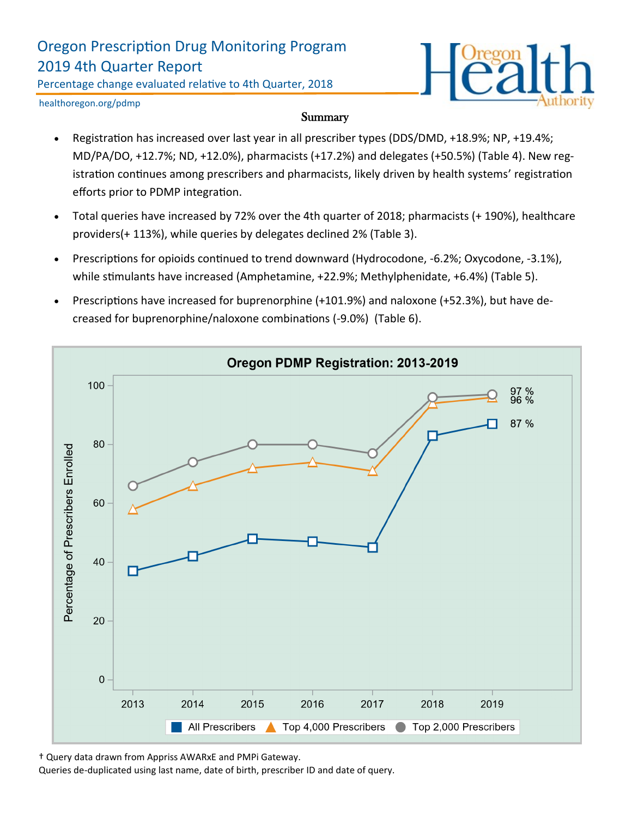# Oregon Prescription Drug Monitoring Program 2019 4th Quarter Report

Percentage change evaluated relative to 4th Quarter, 2018



healthoregon.org/pdmp

#### **Summary**

- Registration has increased over last year in all prescriber types (DDS/DMD, +18.9%; NP, +19.4%; MD/PA/DO, +12.7%; ND, +12.0%), pharmacists (+17.2%) and delegates (+50.5%) (Table 4). New registration continues among prescribers and pharmacists, likely driven by health systems' registration efforts prior to PDMP integration.
- Total queries have increased by 72% over the 4th quarter of 2018; pharmacists (+ 190%), healthcare providers(+ 113%), while queries by delegates declined 2% (Table 3).
- Prescriptions for opioids continued to trend downward (Hydrocodone, -6.2%; Oxycodone, -3.1%), while stimulants have increased (Amphetamine, +22.9%; Methylphenidate, +6.4%) (Table 5).
- Prescriptions have increased for buprenorphine (+101.9%) and naloxone (+52.3%), but have decreased for buprenorphine/naloxone combinations (-9.0%) (Table 6).



† Query data drawn from Appriss AWARxE and PMPi Gateway.

Queries de-duplicated using last name, date of birth, prescriber ID and date of query.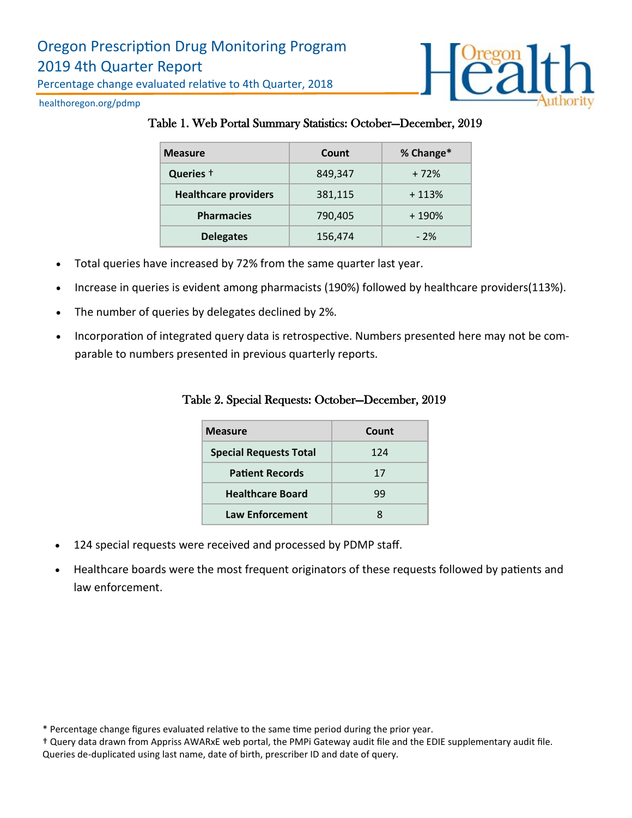

healthoregon.org/pdmp

#### Table 1. Web Portal Summary Statistics: October—December, 2019

| <b>Measure</b>              | Count   | % Change* |
|-----------------------------|---------|-----------|
| Queries +                   | 849.347 | $+72%$    |
| <b>Healthcare providers</b> | 381,115 | $+113%$   |
| <b>Pharmacies</b>           | 790,405 | $+190%$   |
| <b>Delegates</b>            | 156,474 | $-2%$     |

- Total queries have increased by 72% from the same quarter last year.
- Increase in queries is evident among pharmacists (190%) followed by healthcare providers(113%).
- The number of queries by delegates declined by 2%.
- Incorporation of integrated query data is retrospective. Numbers presented here may not be comparable to numbers presented in previous quarterly reports.

| <b>Measure</b>                | Count |  |
|-------------------------------|-------|--|
| <b>Special Requests Total</b> | 124   |  |
| <b>Patient Records</b>        | 17    |  |
| <b>Healthcare Board</b>       | 99    |  |
| <b>Law Enforcement</b>        | x     |  |

#### Table 2. Special Requests: October—December, 2019

- 124 special requests were received and processed by PDMP staff.
- Healthcare boards were the most frequent originators of these requests followed by patients and law enforcement.

<sup>\*</sup> Percentage change figures evaluated relative to the same time period during the prior year.

<sup>†</sup> Query data drawn from Appriss AWARxE web portal, the PMPi Gateway audit file and the EDIE supplementary audit file. Queries de-duplicated using last name, date of birth, prescriber ID and date of query.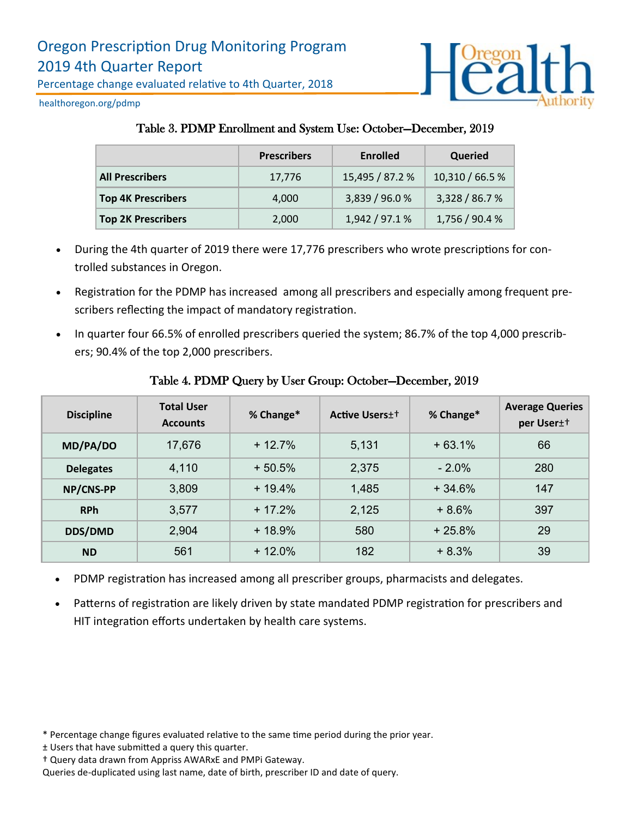

healthoregon.org/pdmp

# Table 3. PDMP Enrollment and System Use: October—December, 2019

|                           | <b>Prescribers</b> | Enrolled        | Queried         |
|---------------------------|--------------------|-----------------|-----------------|
| <b>All Prescribers</b>    | 17,776             | 15,495 / 87.2 % | 10,310 / 66.5 % |
| <b>Top 4K Prescribers</b> | 4,000              | 3,839 / 96.0 %  | 3,328 / 86.7 %  |
| <b>Top 2K Prescribers</b> | 2,000              | 1,942 / 97.1 %  | 1,756 / 90.4 %  |

- During the 4th quarter of 2019 there were 17,776 prescribers who wrote prescriptions for controlled substances in Oregon.
- Registration for the PDMP has increased among all prescribers and especially among frequent prescribers reflecting the impact of mandatory registration.
- In quarter four 66.5% of enrolled prescribers queried the system; 86.7% of the top 4,000 prescribers; 90.4% of the top 2,000 prescribers.

| <b>Discipline</b> | <b>Total User</b><br><b>Accounts</b> | % Change* | <b>Active Users</b> <sup>++</sup> | % Change* | <b>Average Queries</b><br>per User <sup>++</sup> |
|-------------------|--------------------------------------|-----------|-----------------------------------|-----------|--------------------------------------------------|
| MD/PA/DO          | 17,676                               | $+12.7\%$ | 5,131                             | $+63.1%$  | 66                                               |
| <b>Delegates</b>  | 4,110                                | $+50.5%$  | 2,375                             | $-2.0\%$  | 280                                              |
| NP/CNS-PP         | 3,809                                | $+19.4%$  | 1,485                             | $+34.6%$  | 147                                              |
| <b>RPh</b>        | 3,577                                | $+17.2%$  | 2,125                             | $+8.6%$   | 397                                              |
| <b>DDS/DMD</b>    | 2,904                                | $+18.9%$  | 580                               | $+25.8%$  | 29                                               |
| <b>ND</b>         | 561                                  | $+12.0\%$ | 182                               | $+8.3%$   | 39                                               |

## Table 4. PDMP Query by User Group: October—December, 2019

- PDMP registration has increased among all prescriber groups, pharmacists and delegates.
- Patterns of registration are likely driven by state mandated PDMP registration for prescribers and HIT integration efforts undertaken by health care systems.

<sup>\*</sup> Percentage change figures evaluated relative to the same time period during the prior year.

<sup>±</sup> Users that have submitted a query this quarter.

<sup>†</sup> Query data drawn from Appriss AWARxE and PMPi Gateway.

Queries de-duplicated using last name, date of birth, prescriber ID and date of query.